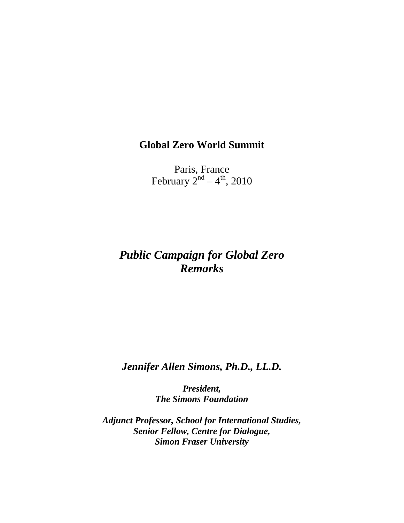## **Global Zero World Summit**

Paris, France February  $2<sup>nd</sup> - 4<sup>th</sup>$ , 2010

## *Public Campaign for Global Zero Remarks*

*Jennifer Allen Simons, Ph.D., LL.D.* 

*President, The Simons Foundation* 

*Adjunct Professor, School for International Studies, Senior Fellow, Centre for Dialogue, Simon Fraser University*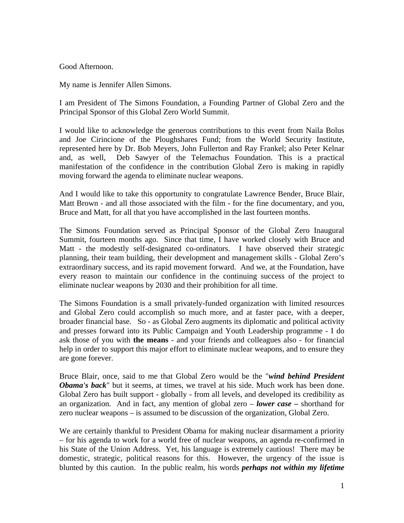Good Afternoon.

My name is Jennifer Allen Simons.

I am President of The Simons Foundation, a Founding Partner of Global Zero and the Principal Sponsor of this Global Zero World Summit.

I would like to acknowledge the generous contributions to this event from Naila Bolus and Joe Cirincione of the Ploughshares Fund; from the World Security Institute, represented here by Dr. Bob Meyers, John Fullerton and Ray Frankel; also Peter Kelnar and, as well, Deb Sawyer of the Telemachus Foundation. This is a practical manifestation of the confidence in the contribution Global Zero is making in rapidly moving forward the agenda to eliminate nuclear weapons.

And I would like to take this opportunity to congratulate Lawrence Bender, Bruce Blair, Matt Brown - and all those associated with the film - for the fine documentary, and you, Bruce and Matt, for all that you have accomplished in the last fourteen months.

The Simons Foundation served as Principal Sponsor of the Global Zero Inaugural Summit, fourteen months ago. Since that time, I have worked closely with Bruce and Matt - the modestly self-designated co-ordinators. I have observed their strategic planning, their team building, their development and management skills - Global Zero's extraordinary success, and its rapid movement forward. And we, at the Foundation, have every reason to maintain our confidence in the continuing success of the project to eliminate nuclear weapons by 2030 and their prohibition for all time.

The Simons Foundation is a small privately-funded organization with limited resources and Global Zero could accomplish so much more, and at faster pace, with a deeper, broader financial base. So - as Global Zero augments its diplomatic and political activity and presses forward into its Public Campaign and Youth Leadership programme - I do ask those of you with **the means** - and your friends and colleagues also - for financial help in order to support this major effort to eliminate nuclear weapons, and to ensure they are gone forever.

Bruce Blair, once, said to me that Global Zero would be the "*wind behind President Obama's back*" but it seems, at times, we travel at his side. Much work has been done. Global Zero has built support - globally - from all levels, and developed its credibility as an organization. And in fact, any mention of global zero – *lower case –* shorthand for zero nuclear weapons – is assumed to be discussion of the organization, Global Zero.

We are certainly thankful to President Obama for making nuclear disarmament a priority – for his agenda to work for a world free of nuclear weapons, an agenda re-confirmed in his State of the Union Address. Yet, his language is extremely cautious! There may be domestic, strategic, political reasons for this. However, the urgency of the issue is blunted by this caution. In the public realm, his words *perhaps not within my lifetime*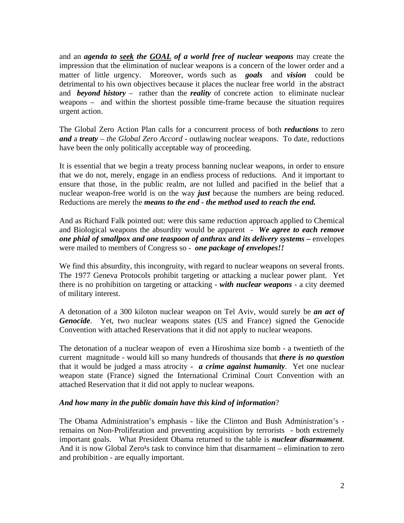and an *agenda to seek the GOAL of a world free of nuclear weapons* may create the impression that the elimination of nuclear weapons is a concern of the lower order and a matter of little urgency. Moreover, words such as *goals* and *vision* could be detrimental to his own objectives because it places the nuclear free world in the abstract and *beyond history* – rather than the *reality* of concrete action to eliminate nuclear weapons – and within the shortest possible time-frame because the situation requires urgent action.

The Global Zero Action Plan calls for a concurrent process of both *reductions* to zero *and* a *treaty – the Global Zero Accord -* outlawing nuclear weapons. To date, reductions have been the only politically acceptable way of proceeding.

It is essential that we begin a treaty process banning nuclear weapons, in order to ensure that we do not, merely, engage in an endless process of reductions. And it important to ensure that those, in the public realm, are not lulled and pacified in the belief that a nuclear weapon-free world is on the way *just* because the numbers are being reduced. Reductions are merely the *means to the end - the method used to reach the end.*

And as Richard Falk pointed out: were this same reduction approach applied to Chemical and Biological weapons the absurdity would be apparent - *We agree to each remove one phial of smallpox and one teaspoon of anthrax and its delivery systems –* envelopes were mailed to members of Congress so - *one package of envelopes!!*

We find this absurdity, this incongruity, with regard to nuclear weapons on several fronts. The 1977 Geneva Protocols prohibit targeting or attacking a nuclear power plant. Yet there is no prohibition on targeting or attacking - *with nuclear weapons* - a city deemed of military interest.

A detonation of a 300 kiloton nuclear weapon on Tel Aviv, would surely be *an act of Genocide*. Yet, two nuclear weapons states (US and France) signed the Genocide Convention with attached Reservations that it did not apply to nuclear weapons.

The detonation of a nuclear weapon of even a Hiroshima size bomb - a twentieth of the current magnitude - would kill so many hundreds of thousands that *there is no question* that it would be judged a mass atrocity *- a crime against humanity*. Yet one nuclear weapon state (France) signed the International Criminal Court Convention with an attached Reservation that it did not apply to nuclear weapons.

## *And how many in the public domain have this kind of information*?

The Obama Administration's emphasis - like the Clinton and Bush Administration's remains on Non-Proliferation and preventing acquisition by terrorists - both extremely important goals. What President Obama returned to the table is *nuclear disarmament*. And it is now Global Zero<sup>1</sup>s task to convince him that disarmament – elimination to zero and prohibition - are equally important.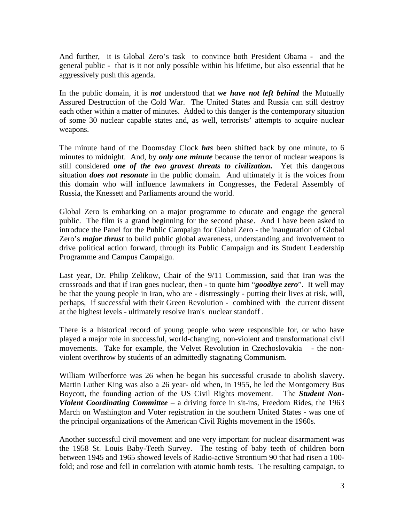And further, it is Global Zero's task to convince both President Obama - and the general public - that is it not only possible within his lifetime, but also essential that he aggressively push this agenda.

In the public domain, it is *not* understood that *we have not left behind* the Mutually Assured Destruction of the Cold War. The United States and Russia can still destroy each other within a matter of minutes. Added to this danger is the contemporary situation of some 30 nuclear capable states and, as well, terrorists' attempts to acquire nuclear weapons.

The minute hand of the Doomsday Clock *has* been shifted back by one minute, to 6 minutes to midnight. And, by *only one minute* because the terror of nuclear weapons is still considered *one of the two gravest threats to civilization.* Yet this dangerous situation *does not resonate* in the public domain. And ultimately it is the voices from this domain who will influence lawmakers in Congresses, the Federal Assembly of Russia, the Knessett and Parliaments around the world.

Global Zero is embarking on a major programme to educate and engage the general public. The film is a grand beginning for the second phase. And I have been asked to introduce the Panel for the Public Campaign for Global Zero - the inauguration of Global Zero's *major thrust* to build public global awareness, understanding and involvement to drive political action forward, through its Public Campaign and its Student Leadership Programme and Campus Campaign.

Last year, Dr. Philip Zelikow, Chair of the 9/11 Commission, said that Iran was the crossroads and that if Iran goes nuclear, then - to quote him "*goodbye zero*". It well may be that the young people in Iran, who are - distressingly - putting their lives at risk, will, perhaps, if successful with their Green Revolution - combined with the current dissent at the highest levels - ultimately resolve Iran's nuclear standoff .

There is a historical record of young people who were responsible for, or who have played a major role in successful, world-changing, non-violent and transformational civil movements. Take for example, the Velvet Revolution in Czechoslovakia - the nonviolent overthrow by students of an admittedly stagnating Communism.

William Wilberforce was 26 when he began his successful crusade to abolish slavery. Martin Luther King was also a 26 year- old when, in 1955, he led the Montgomery Bus Boycott, the founding action of the US Civil Rights movement. The *Student Non-Violent Coordinating Committee* – a driving force in sit-ins, Freedom Rides, the 1963 March on Washington and Voter registration in the southern United States - was one of the principal organizations of the American Civil Rights movement in the 1960s.

Another successful civil movement and one very important for nuclear disarmament was the 1958 St. Louis Baby-Teeth Survey. The testing of baby teeth of children born between 1945 and 1965 showed levels of Radio-active Strontium 90 that had risen a 100 fold; and rose and fell in correlation with atomic bomb tests. The resulting campaign, to